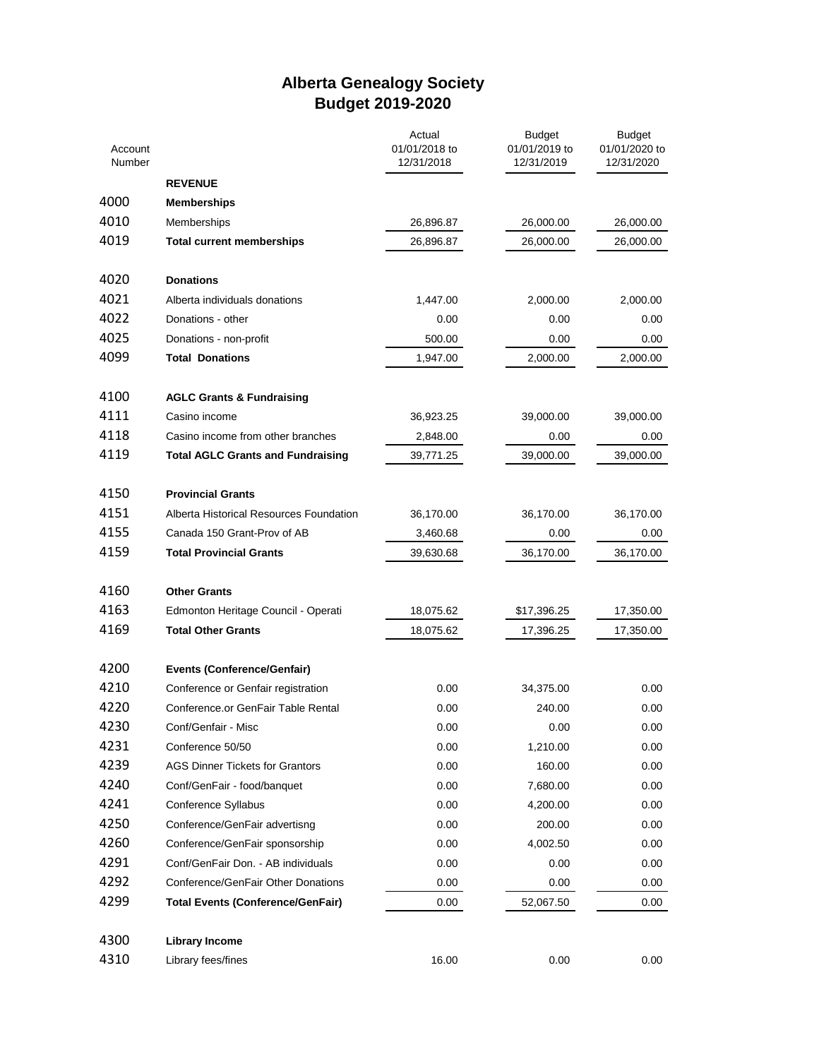## **Alberta Genealogy Society Budget 2019-2020**

| Account<br>Number |                                          | Actual<br>01/01/2018 to<br>12/31/2018 | <b>Budget</b><br>01/01/2019 to<br>12/31/2019 | <b>Budget</b><br>01/01/2020 to<br>12/31/2020 |
|-------------------|------------------------------------------|---------------------------------------|----------------------------------------------|----------------------------------------------|
|                   | <b>REVENUE</b>                           |                                       |                                              |                                              |
| 4000              | <b>Memberships</b>                       |                                       |                                              |                                              |
| 4010              | Memberships                              | 26,896.87                             | 26,000.00                                    | 26,000.00                                    |
| 4019              | <b>Total current memberships</b>         | 26,896.87                             | 26,000.00                                    | 26,000.00                                    |
| 4020              | <b>Donations</b>                         |                                       |                                              |                                              |
| 4021              | Alberta individuals donations            | 1,447.00                              | 2,000.00                                     | 2,000.00                                     |
| 4022              |                                          |                                       | 0.00                                         |                                              |
| 4025              | Donations - other                        | 0.00                                  |                                              | 0.00                                         |
|                   | Donations - non-profit                   | 500.00                                | 0.00                                         | 0.00                                         |
| 4099              | <b>Total Donations</b>                   | 1,947.00                              | 2,000.00                                     | 2,000.00                                     |
| 4100              | <b>AGLC Grants &amp; Fundraising</b>     |                                       |                                              |                                              |
| 4111              | Casino income                            | 36,923.25                             | 39,000.00                                    | 39,000.00                                    |
| 4118              | Casino income from other branches        | 2,848.00                              | 0.00                                         | 0.00                                         |
| 4119              | <b>Total AGLC Grants and Fundraising</b> | 39,771.25                             | 39,000.00                                    | 39,000.00                                    |
| 4150              | <b>Provincial Grants</b>                 |                                       |                                              |                                              |
| 4151              | Alberta Historical Resources Foundation  | 36,170.00                             | 36,170.00                                    | 36,170.00                                    |
| 4155              | Canada 150 Grant-Prov of AB              | 3,460.68                              | 0.00                                         | 0.00                                         |
| 4159              | <b>Total Provincial Grants</b>           | 39,630.68                             | 36,170.00                                    | 36,170.00                                    |
|                   |                                          |                                       |                                              |                                              |
| 4160              | <b>Other Grants</b>                      |                                       |                                              |                                              |
| 4163              | Edmonton Heritage Council - Operati      | 18,075.62                             | \$17,396.25                                  | 17,350.00                                    |
| 4169              | <b>Total Other Grants</b>                | 18,075.62                             | 17,396.25                                    | 17,350.00                                    |
| 4200              | <b>Events (Conference/Genfair)</b>       |                                       |                                              |                                              |
| 4210              | Conference or Genfair registration       | 0.00                                  | 34,375.00                                    | 0.00                                         |
| 4220              | Conference.or GenFair Table Rental       | 0.00                                  | 240.00                                       | 0.00                                         |
| 4230              | Conf/Genfair - Misc                      | 0.00                                  | 0.00                                         | 0.00                                         |
| 4231              | Conference 50/50                         | 0.00                                  | 1,210.00                                     | 0.00                                         |
| 4239              | <b>AGS Dinner Tickets for Grantors</b>   | 0.00                                  | 160.00                                       | 0.00                                         |
| 4240              | Conf/GenFair - food/banquet              | 0.00                                  | 7,680.00                                     | 0.00                                         |
| 4241              | Conference Syllabus                      | 0.00                                  | 4,200.00                                     | 0.00                                         |
| 4250              | Conference/GenFair advertisng            | 0.00                                  | 200.00                                       | 0.00                                         |
| 4260              | Conference/GenFair sponsorship           | 0.00                                  | 4,002.50                                     | 0.00                                         |
| 4291              | Conf/GenFair Don. - AB individuals       | 0.00                                  | 0.00                                         | 0.00                                         |
| 4292              | Conference/GenFair Other Donations       | 0.00                                  | 0.00                                         | 0.00                                         |
| 4299              | <b>Total Events (Conference/GenFair)</b> | 0.00                                  | 52,067.50                                    | 0.00                                         |
| 4300              | <b>Library Income</b>                    |                                       |                                              |                                              |
| 4310              | Library fees/fines                       | 16.00                                 | 0.00                                         | 0.00                                         |
|                   |                                          |                                       |                                              |                                              |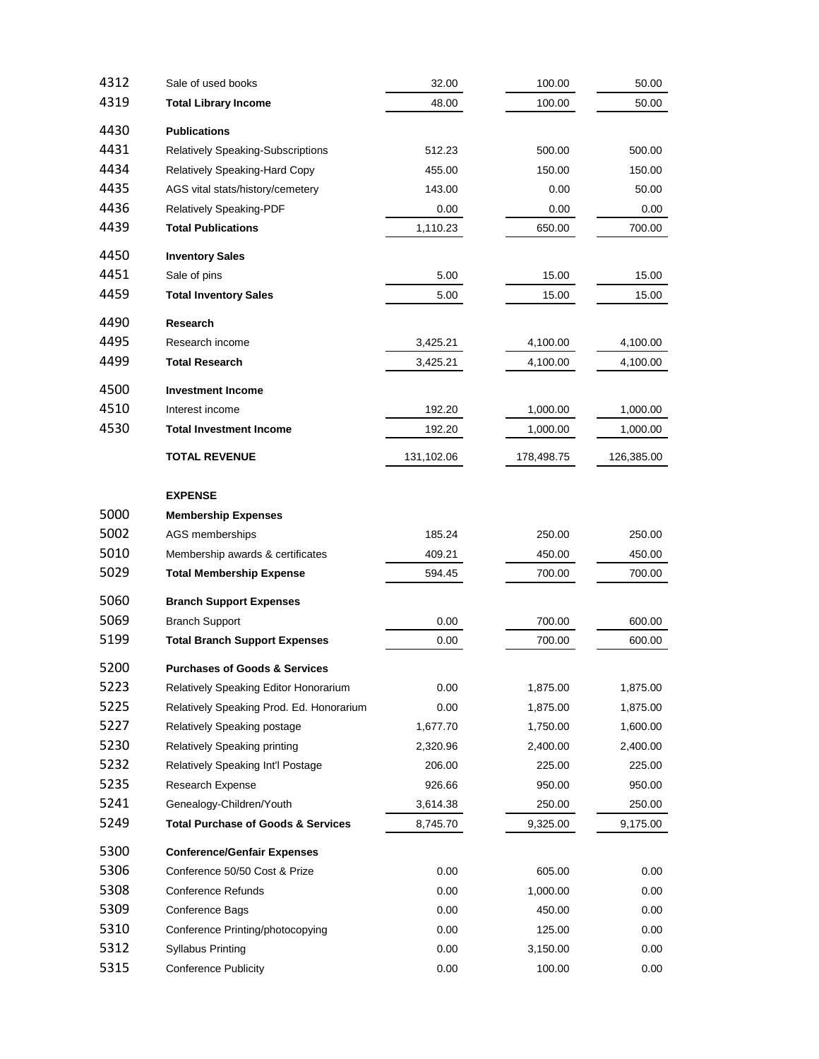| 4312 | Sale of used books                                                  | 32.00      | 100.00             | 50.00        |
|------|---------------------------------------------------------------------|------------|--------------------|--------------|
| 4319 | <b>Total Library Income</b>                                         | 48.00      | 100.00             | 50.00        |
| 4430 | <b>Publications</b>                                                 |            |                    |              |
| 4431 | Relatively Speaking-Subscriptions                                   | 512.23     | 500.00             | 500.00       |
| 4434 | <b>Relatively Speaking-Hard Copy</b>                                | 455.00     | 150.00             | 150.00       |
| 4435 | AGS vital stats/history/cemetery                                    | 143.00     | 0.00               | 50.00        |
| 4436 | Relatively Speaking-PDF                                             | 0.00       | 0.00               | 0.00         |
| 4439 | <b>Total Publications</b>                                           | 1,110.23   | 650.00             | 700.00       |
| 4450 |                                                                     |            |                    |              |
| 4451 | <b>Inventory Sales</b><br>Sale of pins                              | 5.00       | 15.00              | 15.00        |
| 4459 | <b>Total Inventory Sales</b>                                        | 5.00       | 15.00              | 15.00        |
|      |                                                                     |            |                    |              |
| 4490 | <b>Research</b>                                                     |            |                    |              |
| 4495 | Research income                                                     | 3,425.21   | 4,100.00           | 4,100.00     |
| 4499 | <b>Total Research</b>                                               | 3,425.21   | 4,100.00           | 4,100.00     |
| 4500 | <b>Investment Income</b>                                            |            |                    |              |
| 4510 | Interest income                                                     | 192.20     | 1,000.00           | 1,000.00     |
| 4530 | <b>Total Investment Income</b>                                      | 192.20     | 1,000.00           | 1,000.00     |
|      | <b>TOTAL REVENUE</b>                                                | 131,102.06 | 178,498.75         | 126,385.00   |
|      |                                                                     |            |                    |              |
|      | <b>EXPENSE</b>                                                      |            |                    |              |
| 5000 | <b>Membership Expenses</b>                                          |            |                    |              |
| 5002 | AGS memberships                                                     | 185.24     | 250.00             | 250.00       |
| 5010 | Membership awards & certificates                                    | 409.21     | 450.00             | 450.00       |
| 5029 | <b>Total Membership Expense</b>                                     | 594.45     | 700.00             | 700.00       |
| 5060 | <b>Branch Support Expenses</b>                                      |            |                    |              |
| 5069 | <b>Branch Support</b>                                               | 0.00       | 700.00             | 600.00       |
| 5199 | <b>Total Branch Support Expenses</b>                                | 0.00       | 700.00             | 600.00       |
| 5200 | <b>Purchases of Goods &amp; Services</b>                            |            |                    |              |
| 5223 | Relatively Speaking Editor Honorarium                               | 0.00       | 1,875.00           | 1,875.00     |
| 5225 | Relatively Speaking Prod. Ed. Honorarium                            | 0.00       | 1,875.00           | 1,875.00     |
| 5227 | Relatively Speaking postage                                         | 1,677.70   | 1,750.00           | 1,600.00     |
| 5230 | Relatively Speaking printing                                        | 2,320.96   | 2,400.00           | 2,400.00     |
| 5232 | Relatively Speaking Int'l Postage                                   | 206.00     | 225.00             | 225.00       |
| 5235 | Research Expense                                                    | 926.66     | 950.00             | 950.00       |
| 5241 | Genealogy-Children/Youth                                            | 3,614.38   | 250.00             | 250.00       |
| 5249 | <b>Total Purchase of Goods &amp; Services</b>                       | 8,745.70   | 9,325.00           | 9,175.00     |
| 5300 |                                                                     |            |                    |              |
| 5306 | <b>Conference/Genfair Expenses</b><br>Conference 50/50 Cost & Prize | 0.00       |                    |              |
| 5308 | <b>Conference Refunds</b>                                           | 0.00       | 605.00<br>1,000.00 | 0.00<br>0.00 |
| 5309 | Conference Bags                                                     | 0.00       | 450.00             | 0.00         |
| 5310 | Conference Printing/photocopying                                    | 0.00       | 125.00             | 0.00         |
| 5312 | <b>Syllabus Printing</b>                                            | 0.00       | 3,150.00           | 0.00         |
| 5315 | <b>Conference Publicity</b>                                         | 0.00       | 100.00             | 0.00         |
|      |                                                                     |            |                    |              |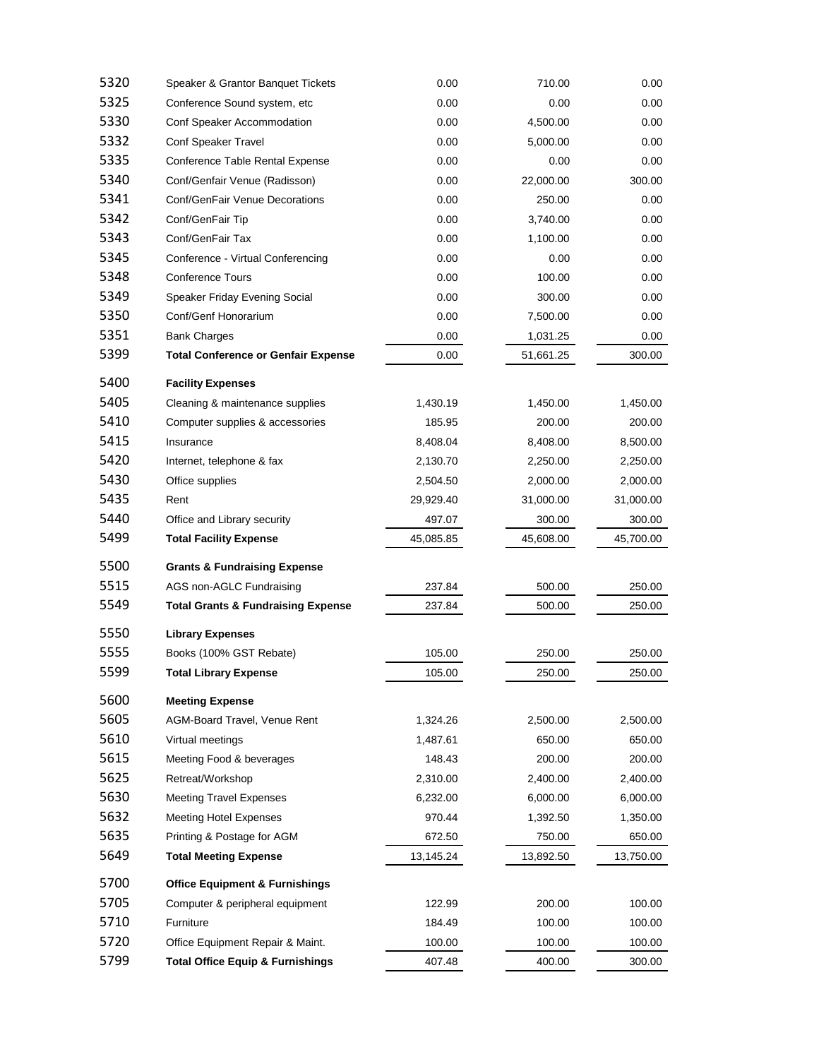| 5320 | Speaker & Grantor Banquet Tickets             | 0.00      | 710.00    | 0.00      |
|------|-----------------------------------------------|-----------|-----------|-----------|
| 5325 | Conference Sound system, etc                  | 0.00      | 0.00      | 0.00      |
| 5330 | Conf Speaker Accommodation                    | 0.00      | 4,500.00  | 0.00      |
| 5332 | Conf Speaker Travel                           | 0.00      | 5,000.00  | 0.00      |
| 5335 | Conference Table Rental Expense               | 0.00      | 0.00      | 0.00      |
| 5340 | Conf/Genfair Venue (Radisson)                 | 0.00      | 22,000.00 | 300.00    |
| 5341 | Conf/GenFair Venue Decorations                | 0.00      | 250.00    | 0.00      |
| 5342 | Conf/GenFair Tip                              | 0.00      | 3,740.00  | 0.00      |
| 5343 | Conf/GenFair Tax                              | 0.00      | 1,100.00  | 0.00      |
| 5345 | Conference - Virtual Conferencing             | 0.00      | 0.00      | 0.00      |
| 5348 | <b>Conference Tours</b>                       | 0.00      | 100.00    | 0.00      |
| 5349 | Speaker Friday Evening Social                 | 0.00      | 300.00    | 0.00      |
| 5350 | Conf/Genf Honorarium                          | 0.00      | 7,500.00  | 0.00      |
| 5351 | <b>Bank Charges</b>                           | 0.00      | 1,031.25  | 0.00      |
| 5399 | <b>Total Conference or Genfair Expense</b>    | 0.00      | 51,661.25 | 300.00    |
| 5400 | <b>Facility Expenses</b>                      |           |           |           |
| 5405 | Cleaning & maintenance supplies               | 1,430.19  | 1,450.00  | 1,450.00  |
| 5410 | Computer supplies & accessories               | 185.95    | 200.00    | 200.00    |
| 5415 | Insurance                                     | 8,408.04  | 8,408.00  | 8,500.00  |
| 5420 | Internet, telephone & fax                     | 2,130.70  | 2,250.00  | 2,250.00  |
| 5430 | Office supplies                               | 2,504.50  | 2,000.00  | 2,000.00  |
| 5435 | Rent                                          | 29,929.40 | 31,000.00 | 31,000.00 |
| 5440 | Office and Library security                   | 497.07    | 300.00    | 300.00    |
| 5499 | <b>Total Facility Expense</b>                 | 45,085.85 | 45,608.00 | 45,700.00 |
| 5500 | <b>Grants &amp; Fundraising Expense</b>       |           |           |           |
| 5515 | AGS non-AGLC Fundraising                      | 237.84    | 500.00    | 250.00    |
| 5549 | <b>Total Grants &amp; Fundraising Expense</b> | 237.84    | 500.00    | 250.00    |
| 5550 | <b>Library Expenses</b>                       |           |           |           |
| 5555 | Books (100% GST Rebate)                       | 105.00    | 250.00    | 250.00    |
| 5599 | <b>Total Library Expense</b>                  | 105.00    | 250.00    | 250.00    |
| 5600 | <b>Meeting Expense</b>                        |           |           |           |
| 5605 | AGM-Board Travel, Venue Rent                  | 1,324.26  | 2,500.00  | 2,500.00  |
| 5610 | Virtual meetings                              | 1,487.61  | 650.00    | 650.00    |
| 5615 | Meeting Food & beverages                      | 148.43    | 200.00    | 200.00    |
| 5625 | Retreat/Workshop                              | 2,310.00  | 2,400.00  | 2,400.00  |
| 5630 | <b>Meeting Travel Expenses</b>                | 6,232.00  | 6,000.00  | 6,000.00  |
| 5632 | <b>Meeting Hotel Expenses</b>                 | 970.44    | 1,392.50  | 1,350.00  |
| 5635 | Printing & Postage for AGM                    | 672.50    | 750.00    | 650.00    |
| 5649 | <b>Total Meeting Expense</b>                  | 13,145.24 | 13,892.50 | 13,750.00 |
| 5700 | <b>Office Equipment &amp; Furnishings</b>     |           |           |           |
| 5705 | Computer & peripheral equipment               | 122.99    | 200.00    | 100.00    |
| 5710 | Furniture                                     | 184.49    | 100.00    | 100.00    |
| 5720 | Office Equipment Repair & Maint.              | 100.00    | 100.00    | 100.00    |
| 5799 | <b>Total Office Equip &amp; Furnishings</b>   | 407.48    | 400.00    | 300.00    |